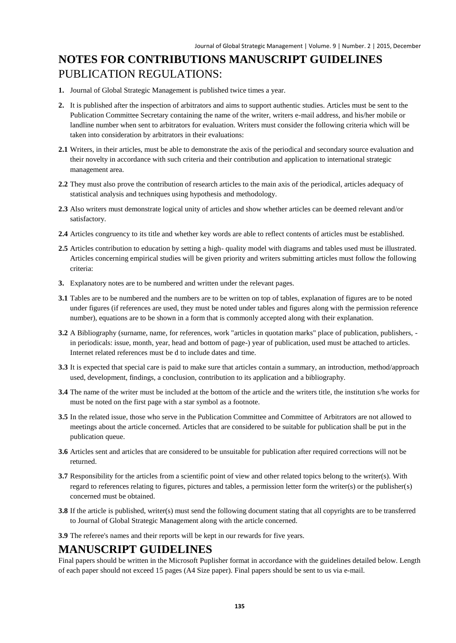# **NOTES FOR CONTRIBUTIONS MANUSCRIPT GUIDELINES** PUBLICATION REGULATIONS:

- **1.** Journal of Global Strategic Management is published twice times a year.
- **2.** It is published after the inspection of arbitrators and aims to support authentic studies. Articles must be sent to the Publication Committee Secretary containing the name of the writer, writers e-mail address, and his/her mobile or landline number when sent to arbitrators for evaluation. Writers must consider the following criteria which will be taken into consideration by arbitrators in their evaluations:
- **2.1** Writers, in their articles, must be able to demonstrate the axis of the periodical and secondary source evaluation and their novelty in accordance with such criteria and their contribution and application to international strategic management area.
- **2.2** They must also prove the contribution of research articles to the main axis of the periodical, articles adequacy of statistical analysis and techniques using hypothesis and methodology.
- **2.3** Also writers must demonstrate logical unity of articles and show whether articles can be deemed relevant and/or satisfactory.
- **2.4** Articles congruency to its title and whether key words are able to reflect contents of articles must be established.
- **2.5** Articles contribution to education by setting a high- quality model with diagrams and tables used must be illustrated. Articles concerning empirical studies will be given priority and writers submitting articles must follow the following criteria:
- **3.** Explanatory notes are to be numbered and written under the relevant pages.
- **3.1** Tables are to be numbered and the numbers are to be written on top of tables, explanation of figures are to be noted under figures (if references are used, they must be noted under tables and figures along with the permission reference number), equations are to be shown in a form that is commonly accepted along with their explanation.
- **3.2** A Bibliography (surname, name, for references, work "articles in quotation marks" place of publication, publishers, in periodicals: issue, month, year, head and bottom of page-) year of publication, used must be attached to articles. Internet related references must be d to include dates and time.
- **3.3** It is expected that special care is paid to make sure that articles contain a summary, an introduction, method/approach used, development, findings, a conclusion, contribution to its application and a bibliography.
- **3.4** The name of the writer must be included at the bottom of the article and the writers title, the institution s/he works for must be noted on the first page with a star symbol as a footnote.
- **3.5** In the related issue, those who serve in the Publication Committee and Committee of Arbitrators are not allowed to meetings about the article concerned. Articles that are considered to be suitable for publication shall be put in the publication queue.
- **3.6** Articles sent and articles that are considered to be unsuitable for publication after required corrections will not be returned.
- **3.7** Responsibility for the articles from a scientific point of view and other related topics belong to the writer(s). With regard to references relating to figures, pictures and tables, a permission letter form the writer(s) or the publisher(s) concerned must be obtained.
- **3.8** If the article is published, writer(s) must send the following document stating that all copyrights are to be transferred to Journal of Global Strategic Management along with the article concerned.
- **3.9** The referee's names and their reports will be kept in our rewards for five years.

#### **MANUSCRIPT GUIDELINES**

Final papers should be written in the Microsoft Puplisher format in accordance with the guidelines detailed below. Length of each paper should not exceed 15 pages (A4 Size paper). Final papers should be sent to us via e-mail.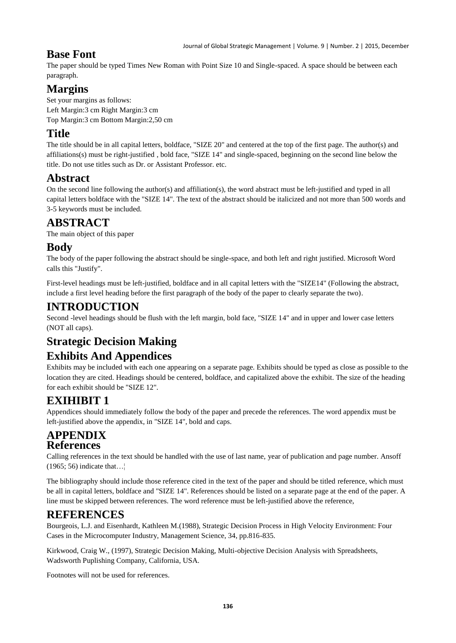#### **Base Font**

The paper should be typed Times New Roman with Point Size 10 and Single-spaced. A space should be between each paragraph.

## **Margins**

Set your margins as follows: Left Margin:3 cm Right Margin:3 cm Top Margin:3 cm Bottom Margin:2,50 cm

### **Title**

The title should be in all capital letters, boldface, "SIZE 20" and centered at the top of the first page. The author(s) and affiliations(s) must be right-justified , bold face, "SIZE 14" and single-spaced, beginning on the second line below the title. Do not use titles such as Dr. or Assistant Professor. etc.

## **Abstract**

On the second line following the author(s) and affiliation(s), the word abstract must be left-justified and typed in all capital letters boldface with the "SIZE 14". The text of the abstract should be italicized and not more than 500 words and 3-5 keywords must be included.

## **ABSTRACT**

The main object of this paper

### **Body**

The body of the paper following the abstract should be single-space, and both left and right justified. Microsoft Word calls this "Justify".

First-level headings must be left-justified, boldface and in all capital letters with the "SIZE14" (Following the abstract, include a first level heading before the first paragraph of the body of the paper to clearly separate the two).

#### **INTRODUCTION**

Second -level headings should be flush with the left margin, bold face, "SIZE 14" and in upper and lower case letters (NOT all caps).

## **Strategic Decision Making**

## **Exhibits And Appendices**

Exhibits may be included with each one appearing on a separate page. Exhibits should be typed as close as possible to the location they are cited. Headings should be centered, boldface, and capitalized above the exhibit. The size of the heading for each exhibit should be "SIZE 12".

## **EXIHIBIT 1**

Appendices should immediately follow the body of the paper and precede the references. The word appendix must be left-justified above the appendix, in "SIZE 14", bold and caps.

#### **APPENDIX References**

Calling references in the text should be handled with the use of last name, year of publication and page number. Ansoff (1965; 56) indicate that…¦

The bibliography should include those reference cited in the text of the paper and should be titled reference, which must be all in capital letters, boldface and "SIZE 14". References should be listed on a separate page at the end of the paper. A line must be skipped between references. The word reference must be left-justified above the reference,

### **REFERENCES**

Bourgeois, L.J. and Eisenhardt, Kathleen M.(1988), Strategic Decision Process in High Velocity Environment: Four Cases in the Microcomputer Industry, Management Science, 34, pp.816-835.

Kirkwood, Craig W., (1997), Strategic Decision Making, Multi-objective Decision Analysis with Spreadsheets, Wadsworth Puplishing Company, California, USA.

Footnotes will not be used for references.